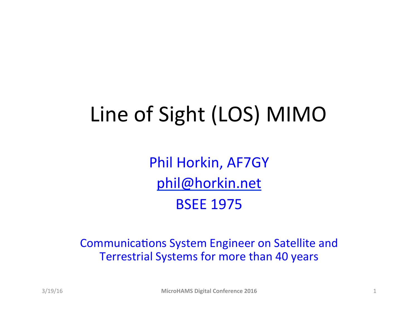# Line of Sight (LOS) MIMO

Phil Horkin, AF7GY phil@horkin.net **BSEE 1975** 

Communications System Engineer on Satellite and Terrestrial Systems for more than 40 years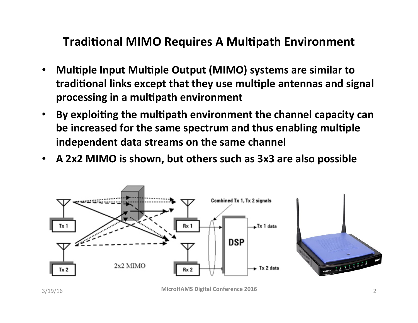#### **Traditional MIMO Requires A Multipath Environment**

- Multiple Input Multiple Output (MIMO) systems are similar to traditional links except that they use multiple antennas and signal processing in a multipath environment
- By exploiting the multipath environment the channel capacity can **be increased for the same spectrum and thus enabling multiple independent data streams on the same channel**
- A 2x2 MIMO is shown, but others such as 3x3 are also possible

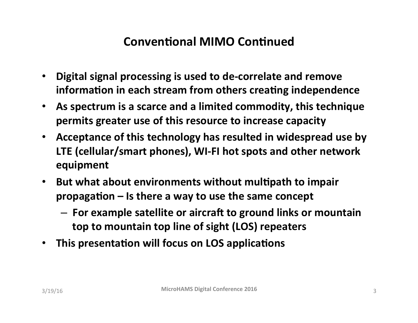#### **Conventional MIMO Continued**

- **Digital signal processing is used to de-correlate and remove** information in each stream from others creating independence
- As spectrum is a scarce and a limited commodity, this technique **permits greater use of this resource to increase capacity**
- Acceptance of this technology has resulted in widespread use by LTE (cellular/smart phones), WI-FI hot spots and other network **equipment**
- But what about environments without multipath to impair propagation – Is there a way to use the same concept
	- $-$  For example satellite or aircraft to ground links or mountain **top to mountain top line of sight (LOS) repeaters**
- **This presentation will focus on LOS applications**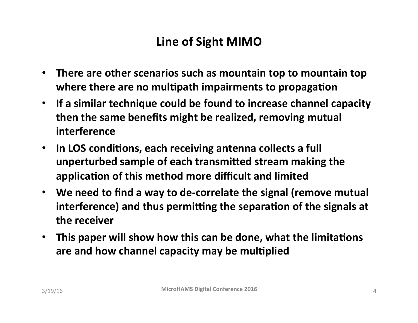### Line of Sight MIMO

- There are other scenarios such as mountain top to mountain top where there are no multipath impairments to propagation
- If a similar technique could be found to increase channel capacity **then the same benefits might be realized, removing mutual interference**
- In LOS conditions, each receiving antenna collects a full **unperturbed sample of each transmitted stream making the** application of this method more difficult and limited
- We need to find a way to de-correlate the signal (remove mutual interference) and thus permitting the separation of the signals at **the receiver**
- This paper will show how this can be done, what the limitations are and how channel capacity may be multiplied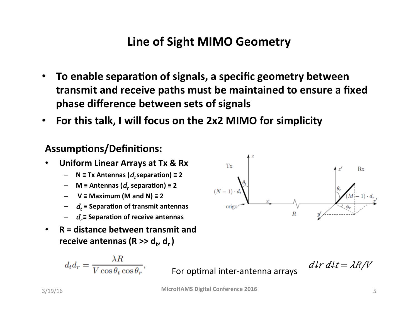#### **Line of Sight MIMO Geometry**

- To enable separation of signals, a specific geometry between **transmit and receive paths must be maintained to ensure a fixed** phase difference between sets of signals
- For this talk, I will focus on the 2x2 MIMO for simplicity

#### **Assumptions/Definitions:**

- **Uniform Linear Arrays at Tx & Rx** 
	- $N \equiv Tx$  Antennas ( $d_t$ separation)  $\equiv 2$
	- $-$  **M** ≡ Antennas ( $d_r$  separation)  $\equiv$  2
	- $V \equiv$  Maximum (M and N)  $\equiv$  2
	- $d_t$  ≡ Separation of transmit antennas
	- $− d_r$ ≡ Separation of receive antennas
- R = distance between transmit and receive antennas (R >> d<sub>t</sub>, d<sub>r</sub> )

$$
d_t d_r = \frac{\lambda R}{V \cos \theta_t \cos \theta_r},
$$

For optimal inter-antenna arrays  $d\ell r d\ell t = \lambda R/V$ 

**MicroHAMS Digital Conference 2016 S** 5

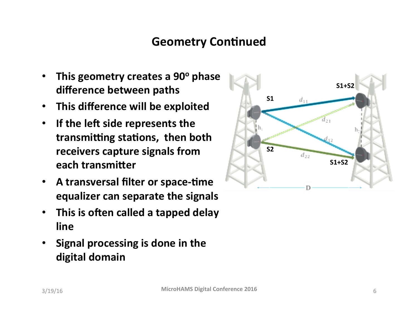#### **Geometry Continued**

- This geometry creates a 90° phase difference between paths
- **This difference will be exploited**
- **•** If the left side represents the transmitting stations, then both **receivers capture signals from each transmitter**
- **A transversal filter or space-time equalizer can separate the signals**
- This is often called a tapped delay **line**
- **Signal processing is done in the** digital domain

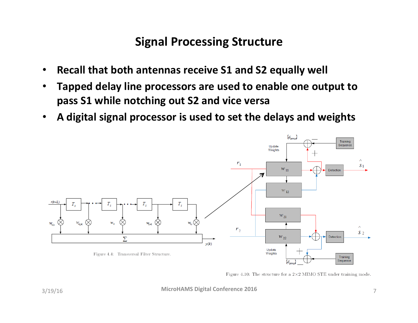#### **Signal Processing Structure**

- **Recall that both antennas receive S1 and S2 equally well**
- Tapped delay line processors are used to enable one output to pass S1 while notching out S2 and vice versa
- A digital signal processor is used to set the delays and weights



Figure 4.10: The structure for a  $2\times2$  MIMO STE under training mode.

**MicroHAMS Digital Conference 2016 MicroHAMS Digital Conference 2016**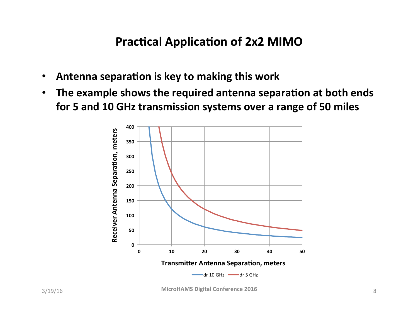#### **Practical Application of 2x2 MIMO**

- **Antenna separation is key to making this work**
- The example shows the required antenna separation at both ends for 5 and 10 GHz transmission systems over a range of 50 miles



**MicroHAMS Digital Conference 2016 8** 8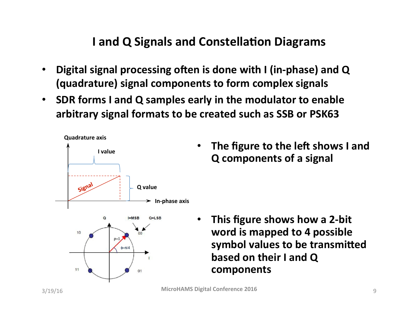#### **I** and Q Signals and Constellation Diagrams

- **Digital signal processing often is done with I (in-phase) and Q (quadrature) signal components to form complex signals**
- SDR forms I and Q samples early in the modulator to enable arbitrary signal formats to be created such as SSB or PSK63



The figure to the left shows I and **Q** components of a signal

This figure shows how a 2-bit word is mapped to 4 possible symbol values to be transmitted **based on their I and Q components**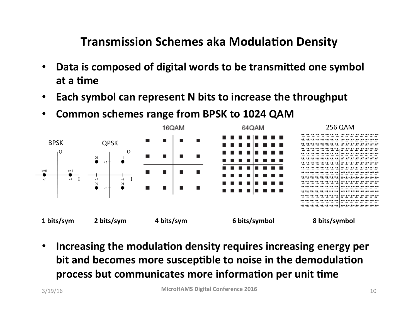#### **Transmission Schemes aka Modulation Density**

- Data is composed of digital words to be transmitted one symbol at a time
- **Each symbol can represent N bits to increase the throughput**
- Common schemes range from BPSK to 1024 QAM



**• Increasing the modulation density requires increasing energy per bit and becomes more susceptible to noise in the demodulation** process but communicates more information per unit time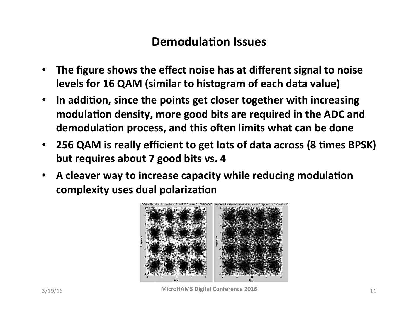#### **Demodulation Issues**

- The figure shows the effect noise has at different signal to noise **levels for 16 QAM (similar to histogram of each data value)**
- In addition, since the points get closer together with increasing modulation density, more good bits are required in the ADC and demodulation process, and this often limits what can be done
- 256 QAM is really efficient to get lots of data across (8 times BPSK) but requires about 7 good bits vs. 4
- A cleaver way to increase capacity while reducing modulation **complexity uses dual polarization**



**MicroHAMS Digital Conference 2016 MicroHAMS Digital Conference 2016**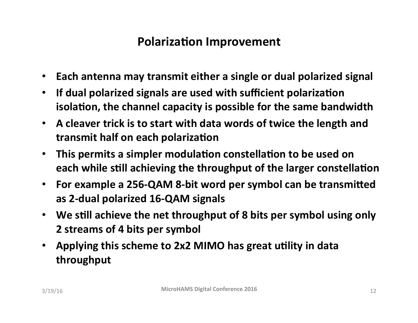### **Polarization Improvement**

- Each antenna may transmit either a single or dual polarized signal
- **If dual polarized signals are used with sufficient polarization isolation, the channel capacity is possible for the same bandwidth**
- A cleaver trick is to start with data words of twice the length and **transmit half on each polarization**
- This permits a simpler modulation constellation to be used on each while still achieving the throughput of the larger constellation
- For example a 256-QAM 8-bit word per symbol can be transmitted as 2-dual polarized 16-QAM signals
- We still achieve the net throughput of 8 bits per symbol using only **2** streams of 4 bits per symbol
- Applying this scheme to 2x2 MIMO has great utility in data **throughput**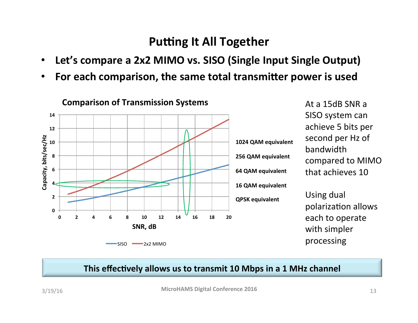#### **Putting It All Together**

- Let's compare a 2x2 MIMO vs. SISO (Single Input Single Output)
- **For each comparison, the same total transmitter power is used**



At a 15dB SNR a SISO system can achieve 5 bits per second per Hz of bandwidth compared to MIMO that achieves 10

Using dual polarization allows each to operate with simpler processing 

#### This effectively allows us to transmit 10 Mbps in a 1 MHz channel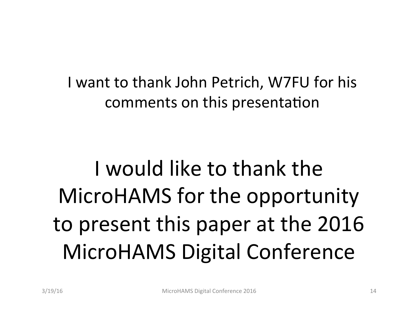I want to thank John Petrich, W7FU for his comments on this presentation

# I would like to thank the MicroHAMS for the opportunity to present this paper at the 2016 MicroHAMS Digital Conference